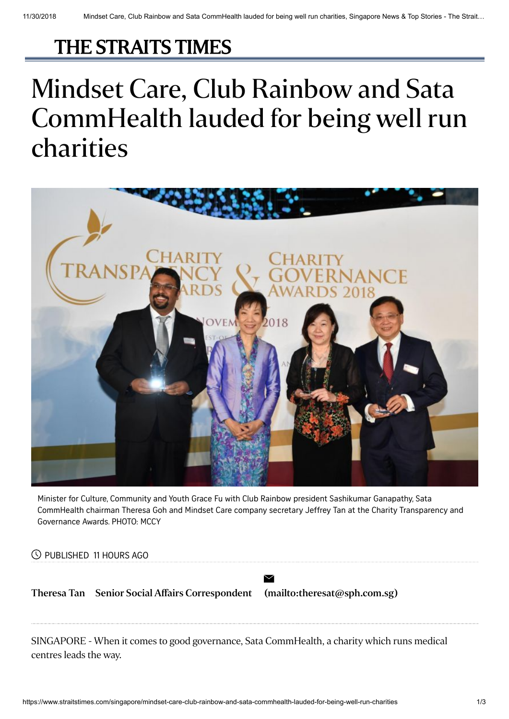## [THE STRAITS TIMES](https://www.straitstimes.com/)

## Mindset Care, Club Rainbow and Sata CommHealth lauded for being well run charities



Minister for Culture, Community and Youth Grace Fu with Club Rainbow president Sashikumar Ganapathy, Sata CommHealth chairman Theresa Goh and Mindset Care company secretary Jeffrey Tan at the Charity Transparency and Governance Awards. PHOTO: MCCY

PUBLISHED 11 HOURS AGO

[Theresa](https://www.straitstimes.com/authors/theresa-tan) Tan Senior Social Affairs Correspondent [\(mailto:theresat@sph.com.sg\)](mailto:theresat@sph.com.sg)

 $\boxtimes$ 

SINGAPORE - When it comes to good governance, Sata CommHealth, a charity which runs medical centres leads the way.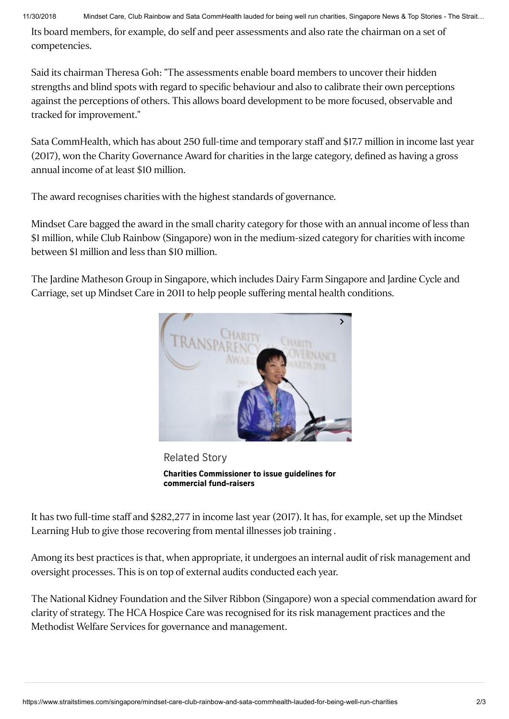Its board members, for example, do self and peer assessments and also rate the chairman on a set of competencies.

Said its chairman Theresa Goh: "The assessments enable board members to uncover their hidden strengths and blind spots with regard to specific behaviour and also to calibrate their own perceptions against the perceptions of others. This allows board development to be more focused, observable and tracked for improvement."

Sata CommHealth, which has about 250 full-time and temporary staff and \$17.7 million in income last year (2017), won the Charity Governance Award for charities in the large category, defined as having a gross annual income of at least \$10 million.

The award recognises charities with the highest standards of governance.

Mindset Care bagged the award in the small charity category for those with an annual income of less than \$1 million, while Club Rainbow (Singapore) won in the medium-sized category for charities with income between \$1 million and less than \$10 million.

The Jardine Matheson Group in Singapore, which includes Dairy Farm Singapore and Jardine Cycle and Carriage, set up Mindset Care in 2011 to help people suffering mental health conditions.



Related Story **Charities [Commissioner](https://www.straitstimes.com/singapore/charities-commissioner-to-issue-guidelines-for-commercial-fundraisers) to issue guidelines for commercial fund-raisers**

It has two full-time staff and \$282,277 in income last year (2017). It has, for example, set up the Mindset Learning Hub to give those recovering from mental illnesses job training .

Among its best practices is that, when appropriate, it undergoes an internal audit of risk management and oversight processes. This is on top of external audits conducted each year.

The National Kidney Foundation and the Silver Ribbon (Singapore) won a special commendation award for clarity of strategy. The HCA Hospice Care was recognised for its risk management practices and the Methodist Welfare Services for governance and management.